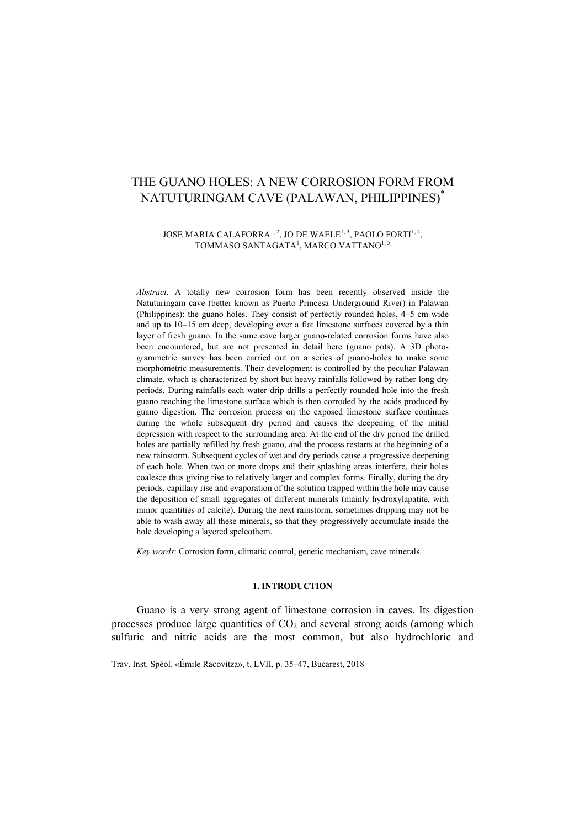# THE GUANO HOLES: A NEW CORROSION FORM FROM NATUTURINGAM CAVE (PALAWAN, PHILIPPINES)\*

### JOSE MARIA CALAFORRA<sup>1, 2</sup>, JO DE WAELE<sup>1, 3</sup>, PAOLO FORTI<sup>1, 4</sup>, TOMMASO SANTAGATA $^1$ , MARCO VATTANO $^{1,5}$

*Abstract.* A totally new corrosion form has been recently observed inside the Natuturingam cave (better known as Puerto Princesa Underground River) in Palawan (Philippines): the guano holes. They consist of perfectly rounded holes, 4–5 cm wide and up to 10–15 cm deep, developing over a flat limestone surfaces covered by a thin layer of fresh guano. In the same cave larger guano-related corrosion forms have also been encountered, but are not presented in detail here (guano pots). A 3D photogrammetric survey has been carried out on a series of guano-holes to make some morphometric measurements. Their development is controlled by the peculiar Palawan climate, which is characterized by short but heavy rainfalls followed by rather long dry periods. During rainfalls each water drip drills a perfectly rounded hole into the fresh guano reaching the limestone surface which is then corroded by the acids produced by guano digestion. The corrosion process on the exposed limestone surface continues during the whole subsequent dry period and causes the deepening of the initial depression with respect to the surrounding area. At the end of the dry period the drilled holes are partially refilled by fresh guano, and the process restarts at the beginning of a new rainstorm. Subsequent cycles of wet and dry periods cause a progressive deepening of each hole. When two or more drops and their splashing areas interfere, their holes coalesce thus giving rise to relatively larger and complex forms. Finally, during the dry periods, capillary rise and evaporation of the solution trapped within the hole may cause the deposition of small aggregates of different minerals (mainly hydroxylapatite, with minor quantities of calcite). During the next rainstorm, sometimes dripping may not be able to wash away all these minerals, so that they progressively accumulate inside the hole developing a layered speleothem.

*Key words*: Corrosion form, climatic control, genetic mechanism, cave minerals.

#### **1. INTRODUCTION**

Guano is a very strong agent of limestone corrosion in caves. Its digestion processes produce large quantities of  $CO<sub>2</sub>$  and several strong acids (among which sulfuric and nitric acids are the most common, but also hydrochloric and

Trav. Inst. Spéol. «Émile Racovitza», t. LVII, p. 35–47, Bucarest, 2018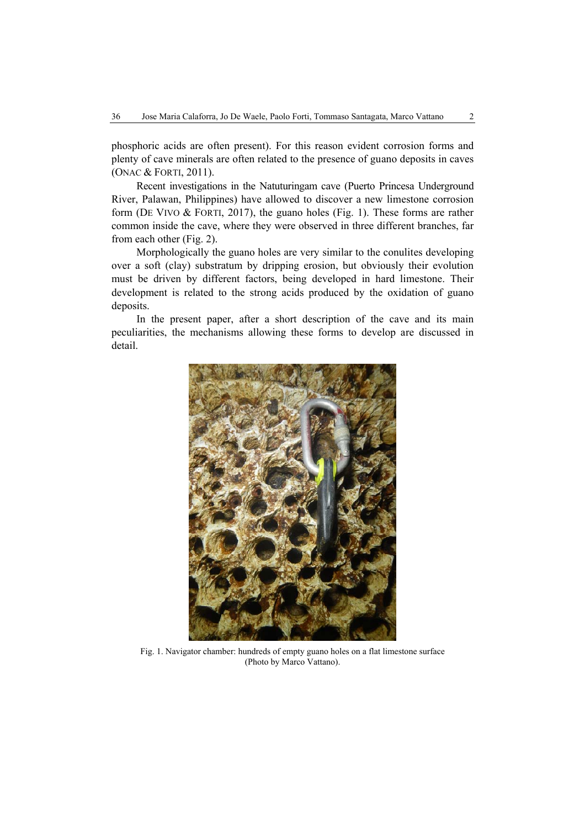phosphoric acids are often present). For this reason evident corrosion forms and plenty of cave minerals are often related to the presence of guano deposits in caves (ONAC & FORTI, 2011).

Recent investigations in the Natuturingam cave (Puerto Princesa Underground River, Palawan, Philippines) have allowed to discover a new limestone corrosion form (DE VIVO & FORTI, 2017), the guano holes (Fig. 1). These forms are rather common inside the cave, where they were observed in three different branches, far from each other (Fig. 2).

Morphologically the guano holes are very similar to the conulites developing over a soft (clay) substratum by dripping erosion, but obviously their evolution must be driven by different factors, being developed in hard limestone. Their development is related to the strong acids produced by the oxidation of guano deposits.

In the present paper, after a short description of the cave and its main peculiarities, the mechanisms allowing these forms to develop are discussed in detail.



Fig. 1. Navigator chamber: hundreds of empty guano holes on a flat limestone surface (Photo by Marco Vattano).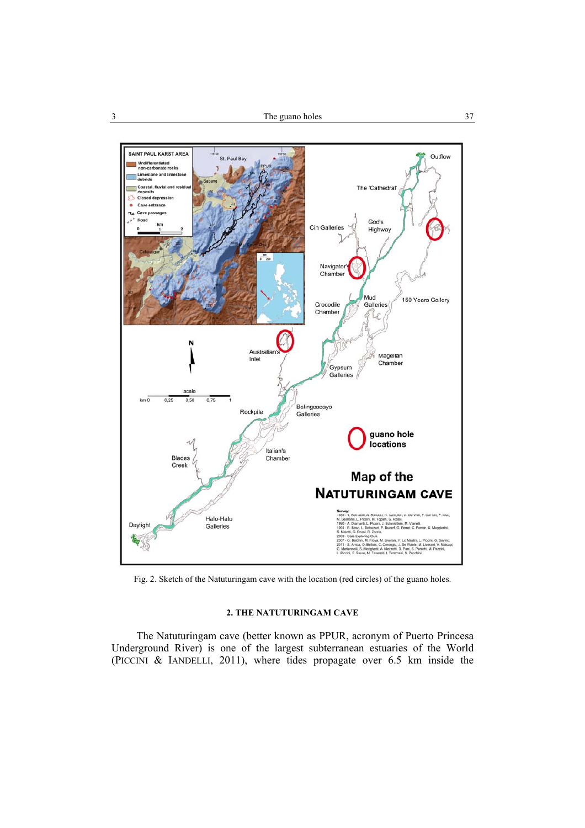

Fig. 2. Sketch of the Natuturingam cave with the location (red circles) of the guano holes.

#### **2. THE NATUTURINGAM CAVE**

The Natuturingam cave (better known as PPUR, acronym of Puerto Princesa Underground River) is one of the largest subterranean estuaries of the World (PICCINI & IANDELLI, 2011), where tides propagate over 6.5 km inside the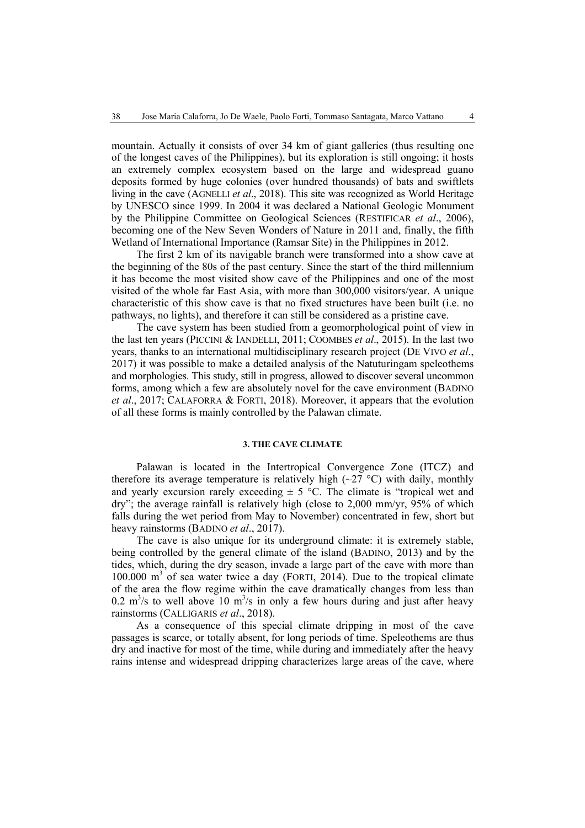mountain. Actually it consists of over 34 km of giant galleries (thus resulting one of the longest caves of the Philippines), but its exploration is still ongoing; it hosts an extremely complex ecosystem based on the large and widespread guano deposits formed by huge colonies (over hundred thousands) of bats and swiftlets living in the cave (AGNELLI *et al*., 2018). This site was recognized as World Heritage by UNESCO since 1999. In 2004 it was declared a National Geologic Monument by the Philippine Committee on Geological Sciences (RESTIFICAR *et al*., 2006), becoming one of the New Seven Wonders of Nature in 2011 and, finally, the fifth Wetland of International Importance (Ramsar Site) in the Philippines in 2012.

The first 2 km of its navigable branch were transformed into a show cave at the beginning of the 80s of the past century. Since the start of the third millennium it has become the most visited show cave of the Philippines and one of the most visited of the whole far East Asia, with more than 300,000 visitors/year. A unique characteristic of this show cave is that no fixed structures have been built (i.e. no pathways, no lights), and therefore it can still be considered as a pristine cave.

The cave system has been studied from a geomorphological point of view in the last ten years (PICCINI & IANDELLI, 2011; COOMBES *et al*., 2015). In the last two years, thanks to an international multidisciplinary research project (DE VIVO *et al*., 2017) it was possible to make a detailed analysis of the Natuturingam speleothems and morphologies. This study, still in progress, allowed to discover several uncommon forms, among which a few are absolutely novel for the cave environment (BADINO *et al*., 2017; CALAFORRA & FORTI, 2018). Moreover, it appears that the evolution of all these forms is mainly controlled by the Palawan climate.

#### **3. THE CAVE CLIMATE**

Palawan is located in the Intertropical Convergence Zone (ITCZ) and therefore its average temperature is relatively high  $(\sim 27 \text{ °C})$  with daily, monthly and yearly excursion rarely exceeding  $\pm$  5 °C. The climate is "tropical wet and dry"; the average rainfall is relatively high (close to 2,000 mm/yr, 95% of which falls during the wet period from May to November) concentrated in few, short but heavy rainstorms (BADINO *et al*., 2017).

The cave is also unique for its underground climate: it is extremely stable, being controlled by the general climate of the island (BADINO, 2013) and by the tides, which, during the dry season, invade a large part of the cave with more than 100.000 m<sup>3</sup> of sea water twice a day (FORTI, 2014). Due to the tropical climate of the area the flow regime within the cave dramatically changes from less than 0.2 m<sup>3</sup>/s to well above 10 m<sup>3</sup>/s in only a few hours during and just after heavy rainstorms (CALLIGARIS *et al*., 2018).

As a consequence of this special climate dripping in most of the cave passages is scarce, or totally absent, for long periods of time. Speleothems are thus dry and inactive for most of the time, while during and immediately after the heavy rains intense and widespread dripping characterizes large areas of the cave, where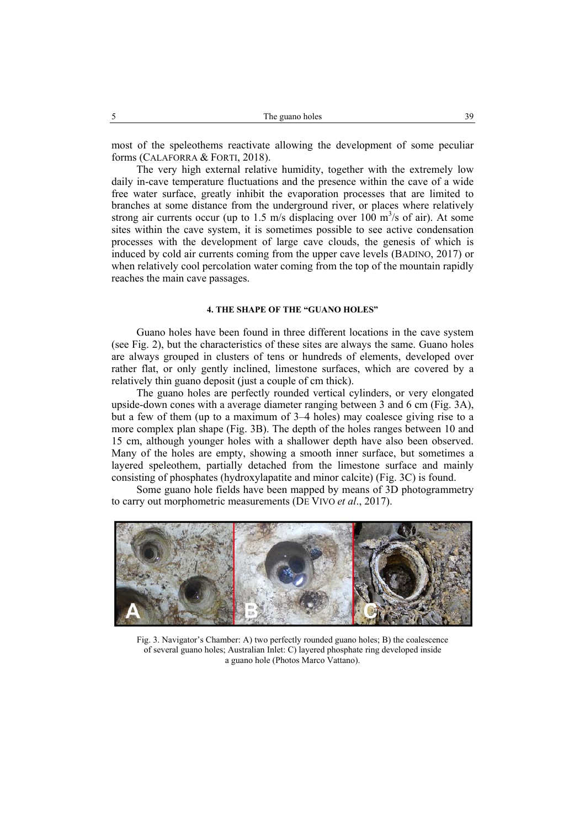most of the speleothems reactivate allowing the development of some peculiar forms (CALAFORRA & FORTI, 2018).

The very high external relative humidity, together with the extremely low daily in-cave temperature fluctuations and the presence within the cave of a wide free water surface, greatly inhibit the evaporation processes that are limited to branches at some distance from the underground river, or places where relatively strong air currents occur (up to 1.5 m/s displacing over  $100 \text{ m}^3/\text{s}$  of air). At some sites within the cave system, it is sometimes possible to see active condensation processes with the development of large cave clouds, the genesis of which is induced by cold air currents coming from the upper cave levels (BADINO, 2017) or when relatively cool percolation water coming from the top of the mountain rapidly reaches the main cave passages.

#### **4. THE SHAPE OF THE "GUANO HOLES"**

Guano holes have been found in three different locations in the cave system (see Fig. 2), but the characteristics of these sites are always the same. Guano holes are always grouped in clusters of tens or hundreds of elements, developed over rather flat, or only gently inclined, limestone surfaces, which are covered by a relatively thin guano deposit (just a couple of cm thick).

The guano holes are perfectly rounded vertical cylinders, or very elongated upside-down cones with a average diameter ranging between 3 and 6 cm (Fig. 3A), but a few of them (up to a maximum of 3–4 holes) may coalesce giving rise to a more complex plan shape (Fig. 3B). The depth of the holes ranges between 10 and 15 cm, although younger holes with a shallower depth have also been observed. Many of the holes are empty, showing a smooth inner surface, but sometimes a layered speleothem, partially detached from the limestone surface and mainly consisting of phosphates (hydroxylapatite and minor calcite) (Fig. 3C) is found.

Some guano hole fields have been mapped by means of 3D photogrammetry to carry out morphometric measurements (DE VIVO *et al*., 2017).



Fig. 3. Navigator's Chamber: A) two perfectly rounded guano holes; B) the coalescence of several guano holes; Australian Inlet: C) layered phosphate ring developed inside a guano hole (Photos Marco Vattano).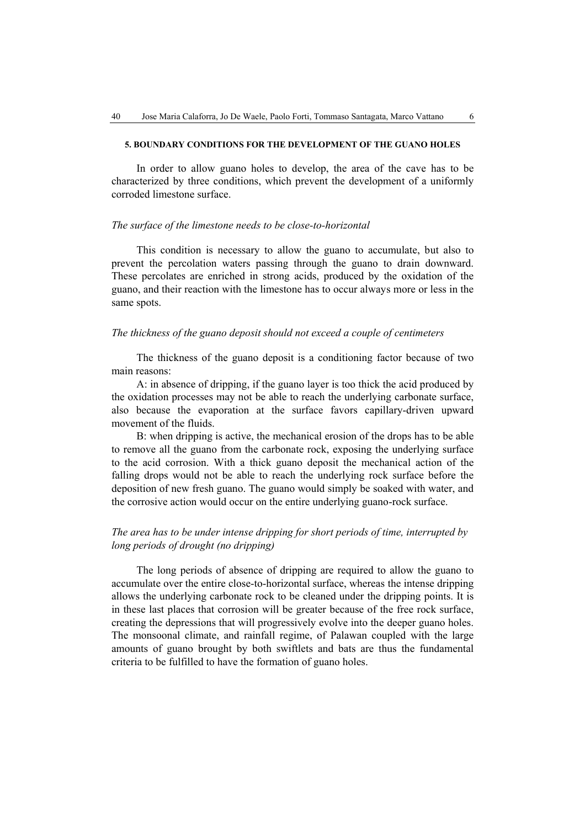#### **5. BOUNDARY CONDITIONS FOR THE DEVELOPMENT OF THE GUANO HOLES**

In order to allow guano holes to develop, the area of the cave has to be characterized by three conditions, which prevent the development of a uniformly corroded limestone surface.

#### *The surface of the limestone needs to be close-to-horizontal*

This condition is necessary to allow the guano to accumulate, but also to prevent the percolation waters passing through the guano to drain downward. These percolates are enriched in strong acids, produced by the oxidation of the guano, and their reaction with the limestone has to occur always more or less in the same spots.

#### *The thickness of the guano deposit should not exceed a couple of centimeters*

The thickness of the guano deposit is a conditioning factor because of two main reasons:

A: in absence of dripping, if the guano layer is too thick the acid produced by the oxidation processes may not be able to reach the underlying carbonate surface, also because the evaporation at the surface favors capillary-driven upward movement of the fluids.

B: when dripping is active, the mechanical erosion of the drops has to be able to remove all the guano from the carbonate rock, exposing the underlying surface to the acid corrosion. With a thick guano deposit the mechanical action of the falling drops would not be able to reach the underlying rock surface before the deposition of new fresh guano. The guano would simply be soaked with water, and the corrosive action would occur on the entire underlying guano-rock surface.

## *The area has to be under intense dripping for short periods of time, interrupted by long periods of drought (no dripping)*

The long periods of absence of dripping are required to allow the guano to accumulate over the entire close-to-horizontal surface, whereas the intense dripping allows the underlying carbonate rock to be cleaned under the dripping points. It is in these last places that corrosion will be greater because of the free rock surface, creating the depressions that will progressively evolve into the deeper guano holes. The monsoonal climate, and rainfall regime, of Palawan coupled with the large amounts of guano brought by both swiftlets and bats are thus the fundamental criteria to be fulfilled to have the formation of guano holes.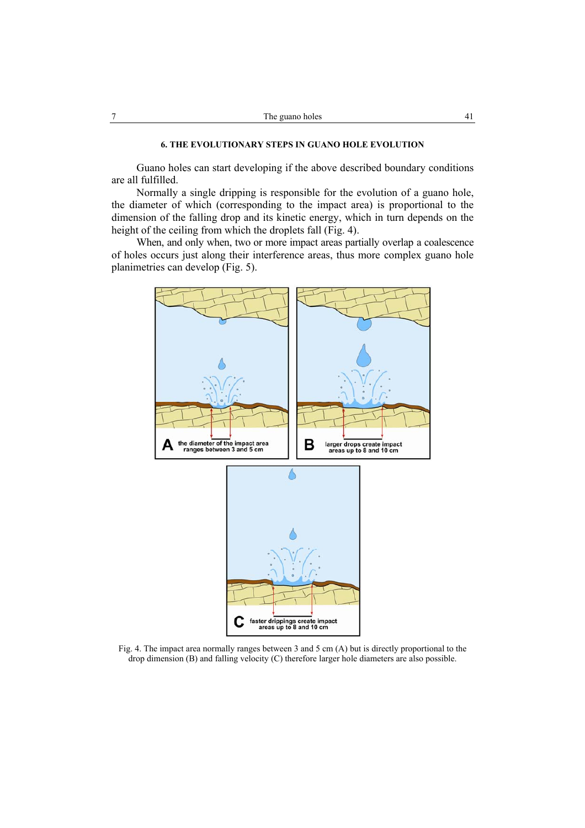Guano holes can start developing if the above described boundary conditions are all fulfilled.

Normally a single dripping is responsible for the evolution of a guano hole, the diameter of which (corresponding to the impact area) is proportional to the dimension of the falling drop and its kinetic energy, which in turn depends on the height of the ceiling from which the droplets fall (Fig. 4).

When, and only when, two or more impact areas partially overlap a coalescence of holes occurs just along their interference areas, thus more complex guano hole planimetries can develop (Fig. 5).



Fig. 4. The impact area normally ranges between 3 and 5 cm (A) but is directly proportional to the drop dimension (B) and falling velocity (C) therefore larger hole diameters are also possible.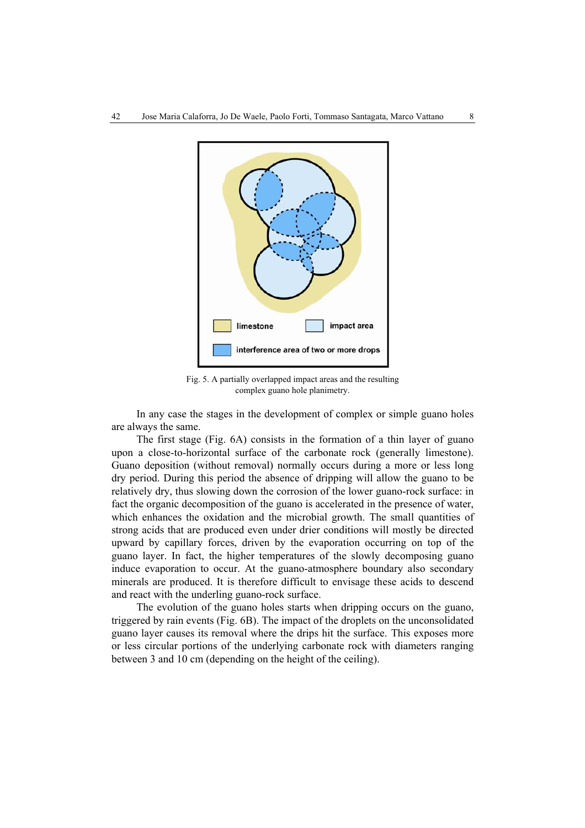

Fig. 5. A partially overlapped impact areas and the resulting complex guano hole planimetry.

In any case the stages in the development of complex or simple guano holes are always the same.

The first stage (Fig. 6A) consists in the formation of a thin layer of guano upon a close-to-horizontal surface of the carbonate rock (generally limestone). Guano deposition (without removal) normally occurs during a more or less long dry period. During this period the absence of dripping will allow the guano to be relatively dry, thus slowing down the corrosion of the lower guano-rock surface: in fact the organic decomposition of the guano is accelerated in the presence of water, which enhances the oxidation and the microbial growth. The small quantities of strong acids that are produced even under drier conditions will mostly be directed upward by capillary forces, driven by the evaporation occurring on top of the guano layer. In fact, the higher temperatures of the slowly decomposing guano induce evaporation to occur. At the guano-atmosphere boundary also secondary minerals are produced. It is therefore difficult to envisage these acids to descend and react with the underling guano-rock surface.

The evolution of the guano holes starts when dripping occurs on the guano, triggered by rain events (Fig. 6B). The impact of the droplets on the unconsolidated guano layer causes its removal where the drips hit the surface. This exposes more or less circular portions of the underlying carbonate rock with diameters ranging between 3 and 10 cm (depending on the height of the ceiling).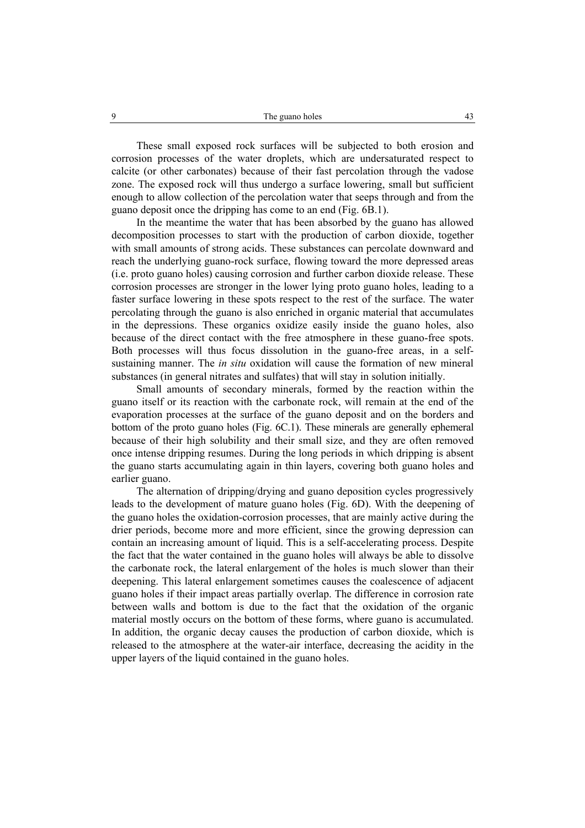These small exposed rock surfaces will be subjected to both erosion and corrosion processes of the water droplets, which are undersaturated respect to calcite (or other carbonates) because of their fast percolation through the vadose zone. The exposed rock will thus undergo a surface lowering, small but sufficient enough to allow collection of the percolation water that seeps through and from the guano deposit once the dripping has come to an end (Fig. 6B.1).

In the meantime the water that has been absorbed by the guano has allowed decomposition processes to start with the production of carbon dioxide, together with small amounts of strong acids. These substances can percolate downward and reach the underlying guano-rock surface, flowing toward the more depressed areas (i.e. proto guano holes) causing corrosion and further carbon dioxide release. These corrosion processes are stronger in the lower lying proto guano holes, leading to a faster surface lowering in these spots respect to the rest of the surface. The water percolating through the guano is also enriched in organic material that accumulates in the depressions. These organics oxidize easily inside the guano holes, also because of the direct contact with the free atmosphere in these guano-free spots. Both processes will thus focus dissolution in the guano-free areas, in a selfsustaining manner. The *in situ* oxidation will cause the formation of new mineral substances (in general nitrates and sulfates) that will stay in solution initially.

Small amounts of secondary minerals, formed by the reaction within the guano itself or its reaction with the carbonate rock, will remain at the end of the evaporation processes at the surface of the guano deposit and on the borders and bottom of the proto guano holes (Fig. 6C.1). These minerals are generally ephemeral because of their high solubility and their small size, and they are often removed once intense dripping resumes. During the long periods in which dripping is absent the guano starts accumulating again in thin layers, covering both guano holes and earlier guano.

The alternation of dripping/drying and guano deposition cycles progressively leads to the development of mature guano holes (Fig. 6D). With the deepening of the guano holes the oxidation-corrosion processes, that are mainly active during the drier periods, become more and more efficient, since the growing depression can contain an increasing amount of liquid. This is a self-accelerating process. Despite the fact that the water contained in the guano holes will always be able to dissolve the carbonate rock, the lateral enlargement of the holes is much slower than their deepening. This lateral enlargement sometimes causes the coalescence of adjacent guano holes if their impact areas partially overlap. The difference in corrosion rate between walls and bottom is due to the fact that the oxidation of the organic material mostly occurs on the bottom of these forms, where guano is accumulated. In addition, the organic decay causes the production of carbon dioxide, which is released to the atmosphere at the water-air interface, decreasing the acidity in the upper layers of the liquid contained in the guano holes.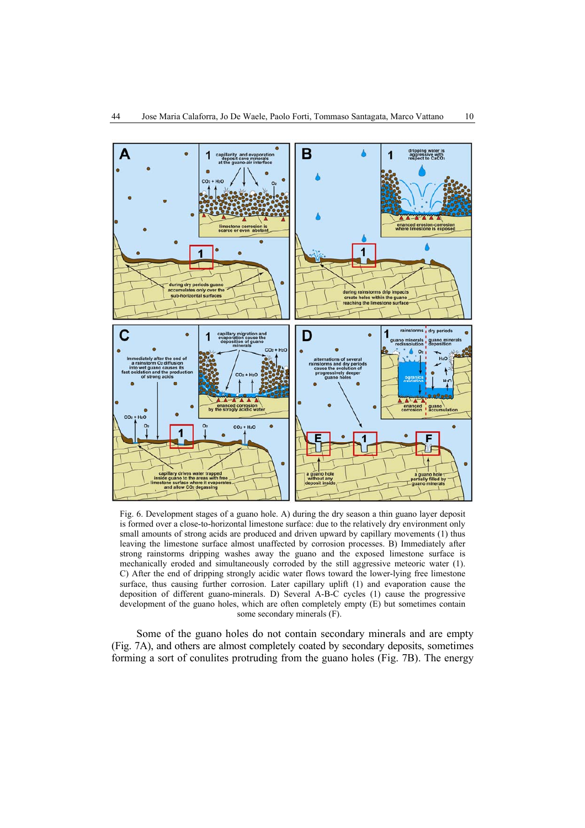

Fig. 6. Development stages of a guano hole. A) during the dry season a thin guano layer deposit is formed over a close-to-horizontal limestone surface: due to the relatively dry environment only small amounts of strong acids are produced and driven upward by capillary movements (1) thus leaving the limestone surface almost unaffected by corrosion processes. B) Immediately after strong rainstorms dripping washes away the guano and the exposed limestone surface is mechanically eroded and simultaneously corroded by the still aggressive meteoric water (1). C) After the end of dripping strongly acidic water flows toward the lower-lying free limestone surface, thus causing further corrosion. Later capillary uplift (1) and evaporation cause the deposition of different guano-minerals. D) Several A-B-C cycles (1) cause the progressive development of the guano holes, which are often completely empty (E) but sometimes contain some secondary minerals (F).

Some of the guano holes do not contain secondary minerals and are empty (Fig. 7A), and others are almost completely coated by secondary deposits, sometimes forming a sort of conulites protruding from the guano holes (Fig. 7B). The energy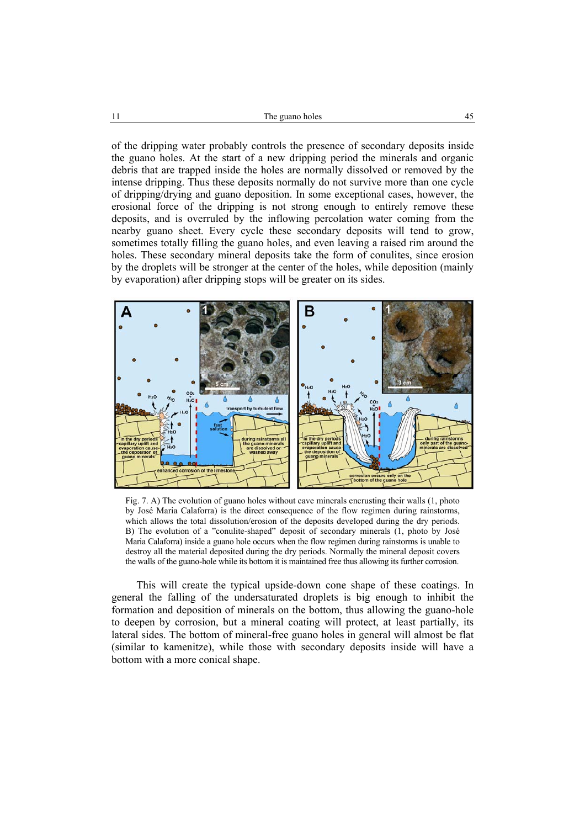of the dripping water probably controls the presence of secondary deposits inside the guano holes. At the start of a new dripping period the minerals and organic debris that are trapped inside the holes are normally dissolved or removed by the intense dripping. Thus these deposits normally do not survive more than one cycle of dripping/drying and guano deposition. In some exceptional cases, however, the erosional force of the dripping is not strong enough to entirely remove these deposits, and is overruled by the inflowing percolation water coming from the nearby guano sheet. Every cycle these secondary deposits will tend to grow, sometimes totally filling the guano holes, and even leaving a raised rim around the holes. These secondary mineral deposits take the form of conulites, since erosion by the droplets will be stronger at the center of the holes, while deposition (mainly by evaporation) after dripping stops will be greater on its sides.



Fig. 7. A) The evolution of guano holes without cave minerals encrusting their walls (1, photo by José Maria Calaforra) is the direct consequence of the flow regimen during rainstorms, which allows the total dissolution/erosion of the deposits developed during the dry periods. B) The evolution of a "conulite-shaped" deposit of secondary minerals (1, photo by José Maria Calaforra) inside a guano hole occurs when the flow regimen during rainstorms is unable to destroy all the material deposited during the dry periods. Normally the mineral deposit covers the walls of the guano-hole while its bottom it is maintained free thus allowing its further corrosion.

This will create the typical upside-down cone shape of these coatings. In general the falling of the undersaturated droplets is big enough to inhibit the formation and deposition of minerals on the bottom, thus allowing the guano-hole to deepen by corrosion, but a mineral coating will protect, at least partially, its lateral sides. The bottom of mineral-free guano holes in general will almost be flat (similar to kamenitze), while those with secondary deposits inside will have a bottom with a more conical shape.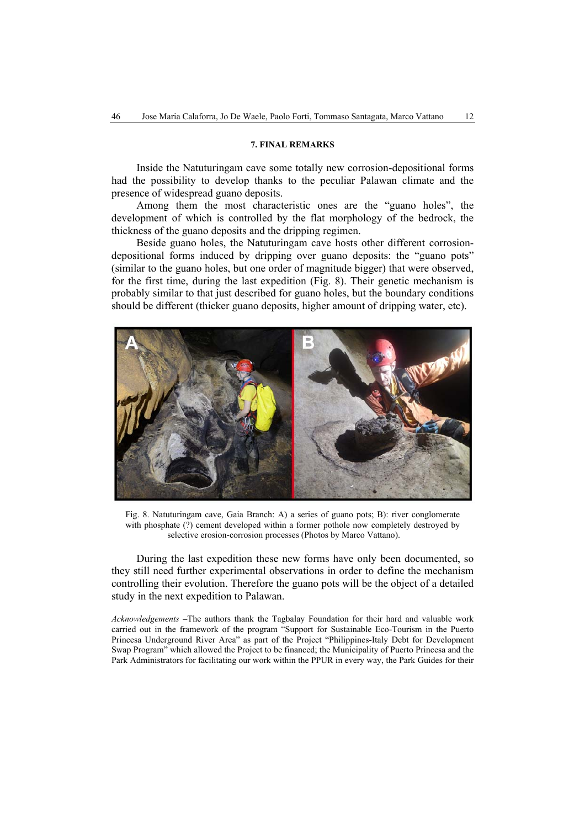#### **7. FINAL REMARKS**

Inside the Natuturingam cave some totally new corrosion-depositional forms had the possibility to develop thanks to the peculiar Palawan climate and the presence of widespread guano deposits.

Among them the most characteristic ones are the "guano holes", the development of which is controlled by the flat morphology of the bedrock, the thickness of the guano deposits and the dripping regimen.

Beside guano holes, the Natuturingam cave hosts other different corrosiondepositional forms induced by dripping over guano deposits: the "guano pots" (similar to the guano holes, but one order of magnitude bigger) that were observed, for the first time, during the last expedition (Fig. 8). Their genetic mechanism is probably similar to that just described for guano holes, but the boundary conditions should be different (thicker guano deposits, higher amount of dripping water, etc).



Fig. 8. Natuturingam cave, Gaia Branch: A) a series of guano pots; B): river conglomerate with phosphate (?) cement developed within a former pothole now completely destroyed by selective erosion-corrosion processes (Photos by Marco Vattano).

During the last expedition these new forms have only been documented, so they still need further experimental observations in order to define the mechanism controlling their evolution. Therefore the guano pots will be the object of a detailed study in the next expedition to Palawan.

*Acknowledgements* **–**The authors thank the Tagbalay Foundation for their hard and valuable work carried out in the framework of the program "Support for Sustainable Eco-Tourism in the Puerto Princesa Underground River Area" as part of the Project "Philippines-Italy Debt for Development Swap Program" which allowed the Project to be financed; the Municipality of Puerto Princesa and the Park Administrators for facilitating our work within the PPUR in every way, the Park Guides for their